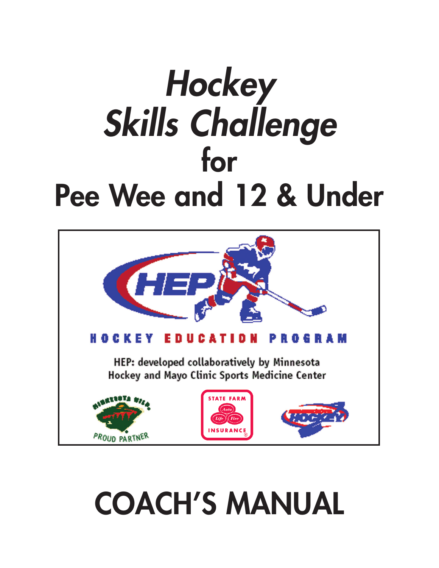# *Hockey Skills Challenge* **for Pee Wee and 12 & Under**



# **COACH'S MANUAL**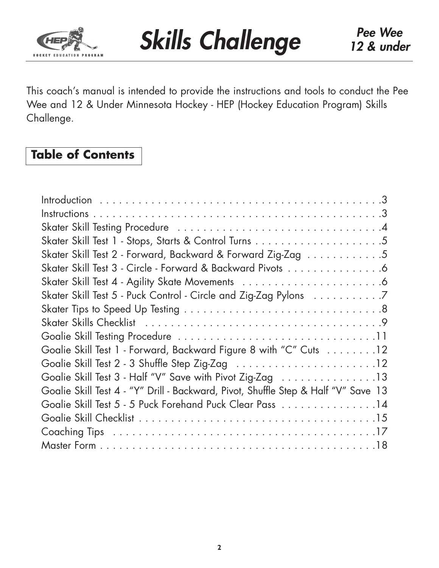

This coach's manual is intended to provide the instructions and tools to conduct the Pee Wee and 12 & Under Minnesota Hockey - HEP (Hockey Education Program) Skills Challenge.

# **Table of Contents**

| Skater Skill Test 2 - Forward, Backward & Forward Zig-Zag 5                        |
|------------------------------------------------------------------------------------|
| Skater Skill Test 3 - Circle - Forward & Backward Pivots 6                         |
|                                                                                    |
| Skater Skill Test 5 - Puck Control - Circle and Zig-Zag Pylons 7                   |
|                                                                                    |
|                                                                                    |
|                                                                                    |
| Goalie Skill Test 1 - Forward, Backward Figure 8 with "C" Cuts 12                  |
|                                                                                    |
| Goalie Skill Test 3 - Half "V" Save with Pivot Zig-Zag                             |
| Goalie Skill Test 4 - "Y" Drill - Backward, Pivot, Shuffle Step & Half "V" Save 13 |
| Goalie Skill Test 5 - 5 Puck Forehand Puck Clear Pass 14                           |
|                                                                                    |
|                                                                                    |
|                                                                                    |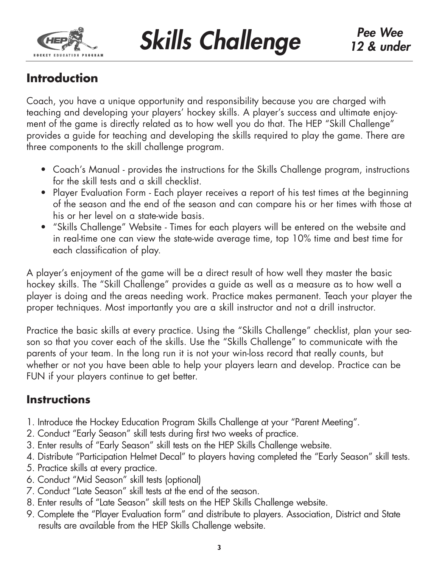

# **Introduction**

Coach, you have a unique opportunity and responsibility because you are charged with teaching and developing your players' hockey skills. A player's success and ultimate enjoyment of the game is directly related as to how well you do that. The HEP "Skill Challenge" provides a guide for teaching and developing the skills required to play the game. There are three components to the skill challenge program.

- Coach's Manual provides the instructions for the Skills Challenge program, instructions for the skill tests and a skill checklist.
- Player Evaluation Form Each player receives a report of his test times at the beginning of the season and the end of the season and can compare his or her times with those at his or her level on a state-wide basis.
- "Skills Challenge" Website Times for each players will be entered on the website and in real-time one can view the state-wide average time, top 10% time and best time for each classification of play.

A player's enjoyment of the game will be a direct result of how well they master the basic hockey skills. The "Skill Challenge" provides a guide as well as a measure as to how well a player is doing and the areas needing work. Practice makes permanent. Teach your player the proper techniques. Most importantly you are a skill instructor and not a drill instructor.

Practice the basic skills at every practice. Using the "Skills Challenge" checklist, plan your season so that you cover each of the skills. Use the "Skills Challenge" to communicate with the parents of your team. In the long run it is not your win-loss record that really counts, but whether or not you have been able to help your players learn and develop. Practice can be FUN if your players continue to get better.

# **Instructions**

- 1. Introduce the Hockey Education Program Skills Challenge at your "Parent Meeting".
- 2. Conduct "Early Season" skill tests during first two weeks of practice.
- 3. Enter results of "Early Season" skill tests on the HEP Skills Challenge website.
- 4. Distribute "Participation Helmet Decal" to players having completed the "Early Season" skill tests.
- 5. Practice skills at every practice.
- 6. Conduct "Mid Season" skill tests (optional)
- 7. Conduct "Late Season" skill tests at the end of the season.
- 8. Enter results of "Late Season" skill tests on the HEP Skills Challenge website.
- 9. Complete the "Player Evaluation form" and distribute to players. Association, District and State results are available from the HEP Skills Challenge website.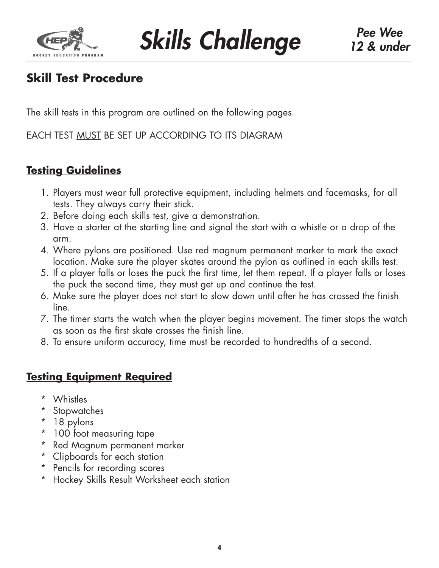

# **Skill Test Procedure**

The skill tests in this program are outlined on the following pages.

EACH TEST MUST BE SET UP ACCORDING TO ITS DIAGRAM

### **Testing Guidelines**

- 1. Players must wear full protective equipment, including helmets and facemasks, for all tests. They always carry their stick.
- 2. Before doing each skills test, give a demonstration.
- 3. Have a starter at the starting line and signal the start with a whistle or a drop of the arm.
- 4. Where pylons are positioned. Use red magnum permanent marker to mark the exact location. Make sure the player skates around the pylon as outlined in each skills test.
- 5. If a player falls or loses the puck the first time, let them repeat. If a player falls or loses the puck the second time, they must get up and continue the test.
- 6. Make sure the player does not start to slow down until after he has crossed the finish line.
- 7. The timer starts the watch when the player begins movement. The timer stops the watch as soon as the first skate crosses the finish line.
- 8. To ensure uniform accuracy, time must be recorded to hundredths of a second.

## **Testing Equipment Required**

- \* Whistles
- \* Stopwatches
- \* 18 pylons
- \* 100 foot measuring tape
- \* Red Magnum permanent marker
- \* Clipboards for each station
- \* Pencils for recording scores
- \* Hockey Skills Result Worksheet each station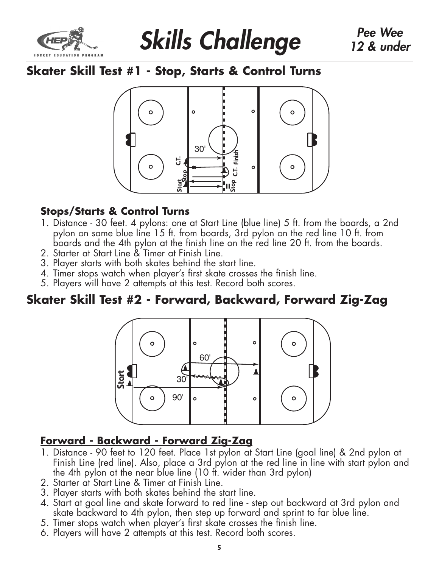



# **Skater Skill Test #1 - Stop, Starts & Control Turns**



## **Stops/Starts & Control Turns**

- 1. Distance 30 feet. 4 pylons: one at Start Line (blue line) 5 ft. from the boards, a 2nd pylon on same blue line 15 ft. from boards, 3rd pylon on the red line 10 ft. from boards and the 4th pylon at the finish line on the red line 20 ft. from the boards.
- 2. Starter at Start Line & Timer at Finish Line.
- 3. Player starts with both skates behind the start line.
- 4. Timer stops watch when player's first skate crosses the finish line.
- 5. Players will have 2 attempts at this test. Record both scores.

# **Skater Skill Test #2 - Forward, Backward, Forward Zig-Zag**



### **Forward - Backward - Forward Zig-Zag**

- 1. Distance 90 feet to 120 feet. Place 1st pylon at Start Line (goal line) & 2nd pylon at Finish Line (red line). Also, place a 3rd pylon at the red line in line with start pylon and the 4th pylon at the near blue line (10 ft. wider than 3rd pylon)
- 2. Starter at Start Line & Timer at Finish Line.
- 3. Player starts with both skates behind the start line.
- 4. Start at goal line and skate forward to red line step out backward at 3rd pylon and skate backward to 4th pylon, then step up forward and sprint to far blue line.
- 5. Timer stops watch when player's first skate crosses the finish line.
- 6. Players will have 2 attempts at this test. Record both scores.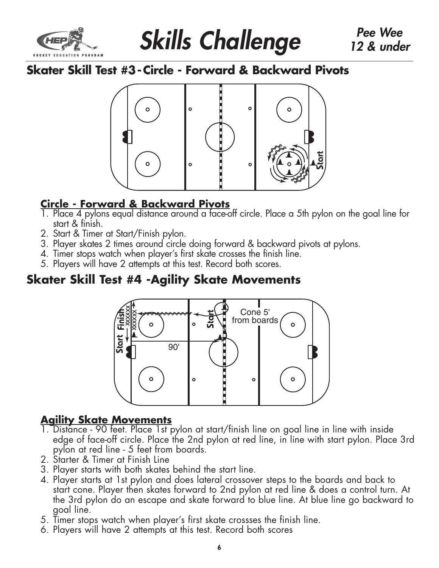



# **Skater Skill Test #3 -Circle - Forward & Backward Pivots**



## **Circle - Forward & Backward Pivots**

- 1. Place 4 pylons equal distance around a face-off circle. Place a 5th pylon on the goal line for start & finish.
- 2. Start & Timer at Start/Finish pylon.
- 3. Player skates 2 times around circle doing forward & backward pivots at pylons.
- 4. Timer stops watch when player's first skate crosses the finish line.
- 5. Players will have 2 attempts at this test. Record both scores.

# **Skater Skill Test #4 -Agility Skate Movements**



## **Agility Skate Movements**

- 1. Distance 90 feet. Place 1st pylon at start/finish line on goal line in line with inside edge of face-off circle. Place the 2nd pylon at red line, in line with start pylon. Place 3rd pylon at red line - 5 feet from boards.
- 2. Starter & Timer at Finish Line
- 3. Player starts with both skates behind the start line.
- 4. Player starts at 1st pylon and does lateral crossover steps to the boards and back to start cone. Player then skates forward to 2nd pylon at red line & does a control turn. At the 3rd pylon do an escape and skate forward to blue line. At blue line go backward to goal line.
- 5. Timer stops watch when player's first skate crossses the finish line.
- 6. Players will have 2 attempts at this test. Record both scores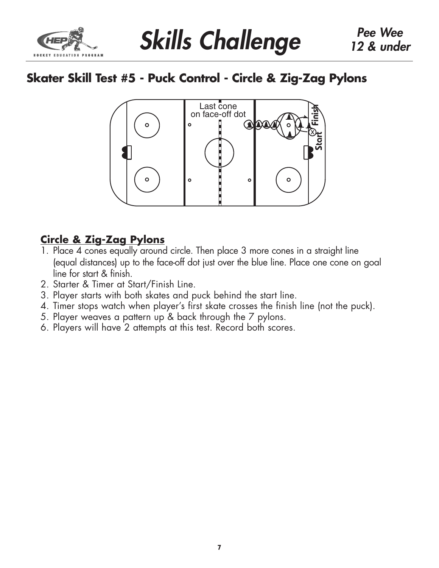

# **Skater Skill Test #5 - Puck Control - Circle & Zig-Zag Pylons**



### **Circle & Zig-Zag Pylons**

- 1. Place 4 cones equally around circle. Then place 3 more cones in a straight line (equal distances) up to the face-off dot just over the blue line. Place one cone on goal line for start & finish.
- 2. Starter & Timer at Start/Finish Line.
- 3. Player starts with both skates and puck behind the start line.
- 4. Timer stops watch when player's first skate crosses the finish line (not the puck).
- 5. Player weaves a pattern up & back through the 7 pylons.
- 6. Players will have 2 attempts at this test. Record both scores.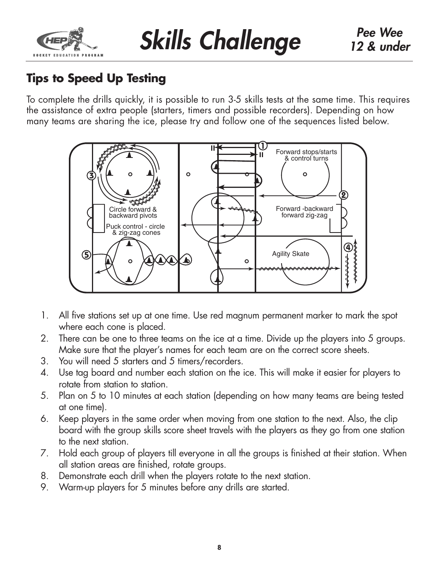

# **Tips to Speed Up Testing**

To complete the drills quickly, it is possible to run 3-5 skills tests at the same time. This requires the assistance of extra people (starters, timers and possible recorders). Depending on how many teams are sharing the ice, please try and follow one of the sequences listed below.



- 1. All five stations set up at one time. Use red magnum permanent marker to mark the spot where each cone is placed.
- 2. There can be one to three teams on the ice at a time. Divide up the players into 5 groups. Make sure that the player's names for each team are on the correct score sheets.
- 3. You will need 5 starters and 5 timers/recorders.
- 4. Use tag board and number each station on the ice. This will make it easier for players to rotate from station to station.
- 5. Plan on 5 to 10 minutes at each station (depending on how many teams are being tested at one time).
- 6. Keep players in the same order when moving from one station to the next. Also, the clip board with the group skills score sheet travels with the players as they go from one station to the next station.
- 7. Hold each group of players till everyone in all the groups is finished at their station. When all station areas are finished, rotate groups.
- 8. Demonstrate each drill when the players rotate to the next station.
- 9. Warm-up players for 5 minutes before any drills are started.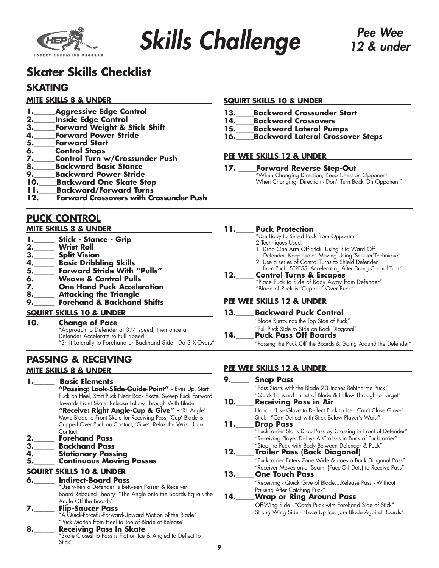

# **Skater Skills Checklist**

### **SKATING**

#### **MITE SKILLS 8 & UNDER**

- **1.** Aggressive Edge Control
- 
- **2.\_\_\_\_\_\_Inside Edge Control 3.\_\_\_\_\_\_Forward Weight & Stick Shift**
- **4.\_\_\_\_\_\_Forward Power Stride**
- **5.\_\_\_\_\_\_Forward Start**
- **6.\_\_\_\_\_\_Control Stops**
- **7.\_\_\_\_\_\_Control Turn w/Crossunder Push**
- **8.\_\_\_\_\_\_Backward Basic Stance**
- **9.\_\_\_\_\_\_Backward Power Stride**
- **Backward One Skate Stop**
- **11.** Backward/Forward Turns<br>**12.** Forward Crossovers with Cr
- **Forward Crossovers with Crossunder Push**

### **PUCK CONTROL**

#### **MITE SKILLS 8 & UNDER**

- **1.\_\_\_\_\_\_ Stick Stance Grip**
- **2.\_\_\_\_\_\_ Wrist Roll**
- **3.\_\_\_\_\_\_ Split Vision**
- 
- **4.\_\_\_\_\_\_ Basic Dribbling Skills 5.\_\_\_\_\_\_ Forward Stride With "Pulls"**
- **6.\_\_\_\_\_\_ Weave & Control Pulls**
- **7.\_\_\_\_\_\_ One Hand Puck Acceleration**
- **8.\_\_\_\_\_\_ Attacking the Triangle**
- **9.\_\_\_\_\_\_ Forehand & Backhand Shifts**
- **SQUIRT SKILLS 10 & UNDER**

#### **10.\_\_\_\_\_ Change of Pace** "Approach to Defender at 3/4 speed, then once at

Defender Accelerate to Full Speed" "Shift Laterally to Forehand or Backhand Side - Do 3 X-Overs"

#### **PASSING & RECEIVING MITE SKILLS 8 & UNDER**

#### **1.\_\_\_\_\_\_ Basic Elements**

**"Passing: Look-Slide-Guide-Point" -** Eyes Up, Start Puck on Heel, Start Puck Near Back Skate, Sweep Puck Forward Towards Front Skate, Release Follow Through With Blade. **"Receive: Right Angle-Cup & Give" -** 'Rt. Angle': Move Blade to Front Skate for Receiving Pass, 'Cup' Blade is Cupped Over Puck on Contact, 'Give': Relax the Wrist Upon Contact. **2.\_\_\_\_\_\_ Forehand Pass**

- **3.\_\_\_\_\_\_ Backhand Pass**
- 
- **4.\_\_\_\_\_\_ Stationary Passing Continuous Moving Passes**

#### **SQUIRT SKILLS 10 & UNDER**

#### **6.\_\_\_\_\_\_ Indirect-Board Pass**

- "Use when a Defender is Between Passer & Receiver Board Rebound Theory: "The Angle onto the Boards Equals the Angle Off the Boards"<br>**Flip-Saucer Pass**
- **7.\_\_\_\_\_\_ Flip-Saucer Pass** "A Quick-Forceful-Forward-Upward Motion of the Blade" "Puck Motion from Heel to Toe of Blade at Release"<br>Receiving Pass In Skate
- **8.\_\_\_\_\_\_ Receiving Pass In Skate**<br>"Skate Closest to Pass is Flat on Ice & Angled to Deflect to Stick"

#### **SQUIRT SKILLS 10 & UNDER**

- **13.\_\_\_\_\_Backward Crossunder Start**
- **14.\_\_\_\_\_Backward Crossovers**
- **15.\_\_\_\_\_Backward Lateral Pumps**
- **16.\_\_\_\_\_Backward Lateral Crossover Steps**

#### **PEE WEE SKILLS 12 & UNDER**

#### **17. \_\_\_\_\_Forward Reverse Step-Out**

"When Changing Direction, Keep Chest on Opponent When Changing Direction - Don't Turn Back On Opponent"

#### **11.\_\_\_\_\_ Puck Protection**

- "Use Body to Shield Puck from Opponent"
- 2 Techniques Used:
- 1. Drop One Arm Off Stick, Using it to Ward Off
- Defender. Keep skates Moving Using 'Scooter'Technique" 2. Use a series of Control Turns to Shield Defender
- from Puck. STRESS: Accelerating After Doing Control Turn"

#### **12.\_\_\_\_\_ Control Turns & Escapes** "Place Puck to Side of Body Away from Defender"

"Blade of Puck is 'Cupped' Over Puck"

#### **PEE WEE SKILLS 12 & UNDER**

### **13.\_\_\_\_\_ Backward Puck Control**

- "Blade Surrounds the Top Side of Puck"
	- "Pull Puck Side to Side on Back Diagonal"

#### **14.\_\_\_\_\_ Puck Pass Off Boards** "Passing the Puck Off the Boards & Going Around the Defender"

#### **PEE WEE SKILLS 12 & UNDER**

**9.\_\_\_\_\_ Snap Pass** "Pass Starts with the Blade 2-3 inches Behind the Puck" "Quick Forward Thrust of Blade & Follow Through to Target" **10.\_\_\_\_\_ Receiving Pass in Air** Hand - "Use Glove to Deflect Puck to Ice - Can't Close Glove" Stick - "Can Deflect with Stick Below Player's Waist" **11.\_\_\_\_\_ Drop Pass** "Puckcarrier Starts Drop Pass by Crossing in Front of Defender" "Receiving Player Delays & Crosses in Back of Puckcarrier" "Stop the Puck with Body Between Defender & Puck" **12.\_\_\_\_\_ Trailer Pass (Back Diagonal)** "Puckcarrier Enters Zone Wide & does a Back Diagonal Pass" "Receiver Moves onto 'Seam' (Face-Off Dots) to Receive Pass" **13.\_\_\_\_\_ One Touch Pass** "Receiving - Quick Give of Blade....Release Pass - Without Pausing After Catching Puck" **14.\_\_\_\_\_Wrap or Ring Around Pass** Off-Wing Side - "Catch Puck with Forehand Side of Stick" Strong Wing Side - "Face Up Ice, Jam Blade Against Boards"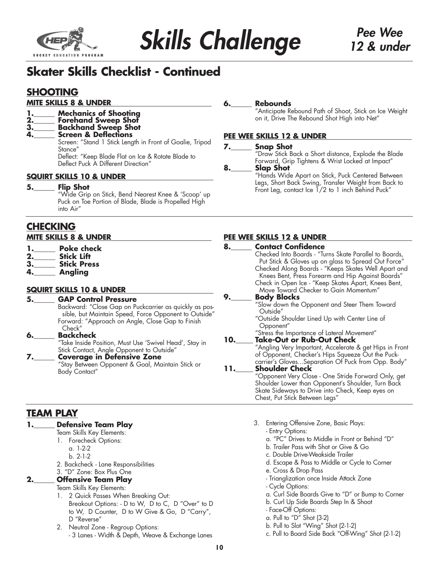

# **Skater Skills Checklist - Continued**

### **SHOOTING**

#### **MITE SKILLS 8 & UNDER**

- **Mechanics of Shooting**
- **2.\_\_\_\_\_\_ Forehand Sweep Shot**
- **3.\_\_\_\_\_\_ Backhand Sweep Shot**
- **4.\_\_\_\_\_\_ Screen & Deflections**

Screen: "Stand 1 Stick Length in Front of Goalie, Tripod Stance" Deflect: "Keep Blade Flat on Ice & Rotate Blade to

Deflect Puck A Different Direction"

#### **SQUIRT SKILLS 10 & UNDER**

**5.\_\_\_\_\_\_ Flip Shot**

"Wide Grip on Stick, Bend Nearest Knee & 'Scoop' up Puck on Toe Portion of Blade, Blade is Propelled High into Air"

### **CHECKING**

#### **MITE SKILLS 8 & UNDER**

- **1.\_\_\_\_\_\_ Poke check**
- **2.\_\_\_\_\_\_ Stick Lift**
- **3.\_\_\_\_\_\_ Stick Press**
- **4.\_\_\_\_\_\_ Angling**

#### **SQUIRT SKILLS 10 & UNDER**

#### **5.\_\_\_\_\_\_ GAP Control Pressure** Backward: "Close Gap on Puckcarrier as quickly as possible, but Maintain Speed, Force Opponent to Outside" Forward: "Approach on Angle, Close Gap to Finish Check" **6.\_\_\_\_\_\_ Backcheck**

"Take Inside Position, Must Use 'Swivel Head', Stay in Stick Contact, Angle Opponent to Outside"

#### **7.\_\_\_\_\_\_ Coverage in Defensive Zone** "Stay Between Opponent & Goal, Maintain Stick or Body Contact"

### **TEAM PLAY**

#### **1.\_\_\_\_\_\_ Defensive Team Play**

- Team Skills Key Elements:
	- 1. Forecheck Options:
		- a. 1-2-2
		- b. 2-1-2
	- 2. Backcheck Lane Responsibilities

#### 3. "D" Zone: Box Plus One **2.\_\_\_\_\_\_ Offensive Team Play**

Team Skills Key Elements:

- 1. 2 Quick Passes When Breaking Out: Breakout Options: - D to W, D to C, D "Over" to D to W, D Counter, D to W Give & Go, D "Carry", D "Reverse"
- 2. Neutral Zone Regroup Options: - 3 Lanes - Width & Depth, Weave & Exchange Lanes

#### **6.\_\_\_\_\_\_ Rebounds**

"Anticipate Rebound Path of Shoot, Stick on Ice Weight on it, Drive The Rebound Shot High into Net"

#### **PEE WEE SKILLS 12 & UNDER**

### **7.\_\_\_\_\_\_ Snap Shot**

"Draw Stick Back a Short distance, Explode the Blade Forward, Grip Tightens & Wrist Locked at Impact"

#### **8.\_\_\_\_\_\_ Slap Shot**

"Hands Wide Apart on Stick, Puck Centered Between Legs, Short Back Swing, Transfer Weight from Back to Front Leg, contact Ice 1/2 to 1 inch Behind Puck"

#### **PEE WEE SKILLS 12 & UNDER**

| <b>Contact Confidence</b><br>8.<br>Checked Into Boards - "Turns Skate Parallel to Boards,<br>Put Stick & Gloves up on glass to Spread Out Force"<br>Checked Along Boards - "Keeps Skates Well Apart and<br>Knees Bent, Press Forearm and Hip Against Boards"<br>Check in Open Ice - "Keep Skates Apart, Knees Bent,<br>Move Toward Checker to Gain Momentum"<br>9.<br><b>Body Blocks</b><br>"Slow down the Opponent and Steer Them Toward<br>Outside"<br>"Outside Shoulder Lined Up with Center Line of<br>Opponent"<br>"Stress the Importance of Lateral Movement"<br>Take-Out or Rub-Out Check<br>10.<br>"Angling Very Important, Accelerate & get Hips in Front<br>of Opponent, Checker's Hips Squeeze Out the Puck-<br>carrier's GlovesSeparation Of Puck from Opp. Body"<br><b>Shoulder Check</b><br>11.<br>"Opponent Very Close - One Stride Forward Only, get<br>Shoulder Lower than Opponent's Shoulder, Turn Back<br>Skate Sideways to Drive into Check, Keep eyes on<br>Chest, Put Stick Between Legs" |  |
|------------------------------------------------------------------------------------------------------------------------------------------------------------------------------------------------------------------------------------------------------------------------------------------------------------------------------------------------------------------------------------------------------------------------------------------------------------------------------------------------------------------------------------------------------------------------------------------------------------------------------------------------------------------------------------------------------------------------------------------------------------------------------------------------------------------------------------------------------------------------------------------------------------------------------------------------------------------------------------------------------------------|--|
|                                                                                                                                                                                                                                                                                                                                                                                                                                                                                                                                                                                                                                                                                                                                                                                                                                                                                                                                                                                                                  |  |
|                                                                                                                                                                                                                                                                                                                                                                                                                                                                                                                                                                                                                                                                                                                                                                                                                                                                                                                                                                                                                  |  |
|                                                                                                                                                                                                                                                                                                                                                                                                                                                                                                                                                                                                                                                                                                                                                                                                                                                                                                                                                                                                                  |  |
|                                                                                                                                                                                                                                                                                                                                                                                                                                                                                                                                                                                                                                                                                                                                                                                                                                                                                                                                                                                                                  |  |
|                                                                                                                                                                                                                                                                                                                                                                                                                                                                                                                                                                                                                                                                                                                                                                                                                                                                                                                                                                                                                  |  |
|                                                                                                                                                                                                                                                                                                                                                                                                                                                                                                                                                                                                                                                                                                                                                                                                                                                                                                                                                                                                                  |  |
|                                                                                                                                                                                                                                                                                                                                                                                                                                                                                                                                                                                                                                                                                                                                                                                                                                                                                                                                                                                                                  |  |
|                                                                                                                                                                                                                                                                                                                                                                                                                                                                                                                                                                                                                                                                                                                                                                                                                                                                                                                                                                                                                  |  |
|                                                                                                                                                                                                                                                                                                                                                                                                                                                                                                                                                                                                                                                                                                                                                                                                                                                                                                                                                                                                                  |  |
|                                                                                                                                                                                                                                                                                                                                                                                                                                                                                                                                                                                                                                                                                                                                                                                                                                                                                                                                                                                                                  |  |
|                                                                                                                                                                                                                                                                                                                                                                                                                                                                                                                                                                                                                                                                                                                                                                                                                                                                                                                                                                                                                  |  |
|                                                                                                                                                                                                                                                                                                                                                                                                                                                                                                                                                                                                                                                                                                                                                                                                                                                                                                                                                                                                                  |  |
|                                                                                                                                                                                                                                                                                                                                                                                                                                                                                                                                                                                                                                                                                                                                                                                                                                                                                                                                                                                                                  |  |
|                                                                                                                                                                                                                                                                                                                                                                                                                                                                                                                                                                                                                                                                                                                                                                                                                                                                                                                                                                                                                  |  |
|                                                                                                                                                                                                                                                                                                                                                                                                                                                                                                                                                                                                                                                                                                                                                                                                                                                                                                                                                                                                                  |  |
|                                                                                                                                                                                                                                                                                                                                                                                                                                                                                                                                                                                                                                                                                                                                                                                                                                                                                                                                                                                                                  |  |
|                                                                                                                                                                                                                                                                                                                                                                                                                                                                                                                                                                                                                                                                                                                                                                                                                                                                                                                                                                                                                  |  |
|                                                                                                                                                                                                                                                                                                                                                                                                                                                                                                                                                                                                                                                                                                                                                                                                                                                                                                                                                                                                                  |  |
|                                                                                                                                                                                                                                                                                                                                                                                                                                                                                                                                                                                                                                                                                                                                                                                                                                                                                                                                                                                                                  |  |
|                                                                                                                                                                                                                                                                                                                                                                                                                                                                                                                                                                                                                                                                                                                                                                                                                                                                                                                                                                                                                  |  |
|                                                                                                                                                                                                                                                                                                                                                                                                                                                                                                                                                                                                                                                                                                                                                                                                                                                                                                                                                                                                                  |  |
|                                                                                                                                                                                                                                                                                                                                                                                                                                                                                                                                                                                                                                                                                                                                                                                                                                                                                                                                                                                                                  |  |
|                                                                                                                                                                                                                                                                                                                                                                                                                                                                                                                                                                                                                                                                                                                                                                                                                                                                                                                                                                                                                  |  |

- 3. Entering Offensive Zone, Basic Plays:
	- Entry Options:
	- a. "PC" Drives to Middle in Front or Behind "D"
	- b. Trailer Pass with Shot or Give & Go
	- c. Double Drive-Weakside Trailer
	- d. Escape & Pass to Middle or Cycle to Corner
	- e. Cross & Drop Pass
	- Trianglization once Inside Attack Zone
	- Cycle Options:
	- a. Curl Side Boards Give to "D" or Bump to Corner
	- b. Curl Up Side Boards Step In & Shoot
	- Face-Off Options:
	- a. Pull to " $D''$  Shot (3-2)
	- b. Pull to Slot "Wing" Shot (2-1-2)
	- c. Pull to Board Side Back "Off-Wing" Shot (2-1-2)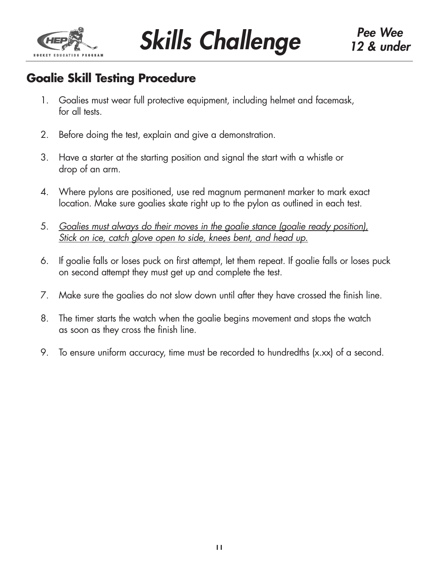

# **Goalie Skill Testing Procedure**

- 1. Goalies must wear full protective equipment, including helmet and facemask, for all tests.
- 2. Before doing the test, explain and give a demonstration.
- 3. Have a starter at the starting position and signal the start with a whistle or drop of an arm.
- 4. Where pylons are positioned, use red magnum permanent marker to mark exact location. Make sure goalies skate right up to the pylon as outlined in each test.
- 5. *Goalies must always do their moves in the goalie stance (goalie ready position), Stick on ice, catch glove open to side, knees bent, and head up.*
- 6. If goalie falls or loses puck on first attempt, let them repeat. If goalie falls or loses puck on second attempt they must get up and complete the test.
- 7. Make sure the goalies do not slow down until after they have crossed the finish line.
- 8. The timer starts the watch when the goalie begins movement and stops the watch as soon as they cross the finish line.
- 9. To ensure uniform accuracy, time must be recorded to hundredths (x.xx) of a second.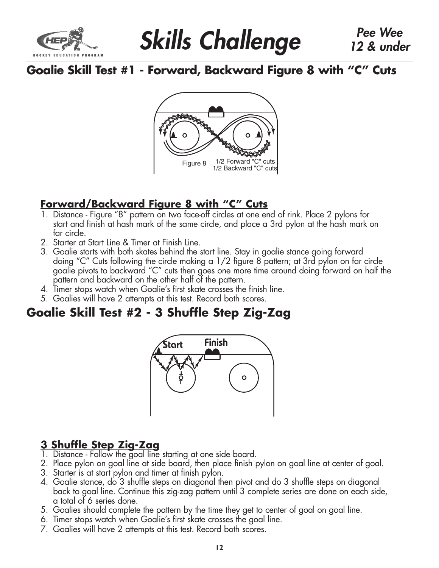

*Skills Challenge Pee Wee*

# **Goalie Skill Test #1 - Forward, Backward Figure 8 with "C" Cuts**



## **Forward/Backward Figure 8 with "C" Cuts**

- 1. Distance Figure "8" pattern on two face-off circles at one end of rink. Place 2 pylons for start and finish at hash mark of the same circle, and place a 3rd pylon at the hash mark on far circle.
- 2. Starter at Start Line & Timer at Finish Line.
- 3. Goalie starts with both skates behind the start line. Stay in goalie stance going forward doing "C" Cuts following the circle making a 1/2 figure 8 pattern; at 3rd pylon on far circle goalie pivots to backward "C" cuts then goes one more time around doing forward on half the pattern and backward on the other half of the pattern.
- 4. Timer stops watch when Goalie's first skate crosses the finish line.
- 5. Goalies will have 2 attempts at this test. Record both scores.

# **Goalie Skill Test #2 - 3 Shuffle Step Zig-Zag**



# **3 Shuffle Step Zig-Zag**

- 1. Distance Follow the goal line starting at one side board.
- 2. Place pylon on goal line at side board, then place finish pylon on goal line at center of goal.
- 3. Starter is at start pylon and timer at finish pylon.
- 4. Goalie stance, do 3 shuffle steps on diagonal then pivot and do 3 shuffle steps on diagonal back to goal line. Continue this zig-zag pattern until 3 complete series are done on each side, a total of 6 series done.
- 5. Goalies should complete the pattern by the time they get to center of goal on goal line.
- 6. Timer stops watch when Goalie's first skate crosses the goal line.
- 7. Goalies will have 2 attempts at this test. Record both scores.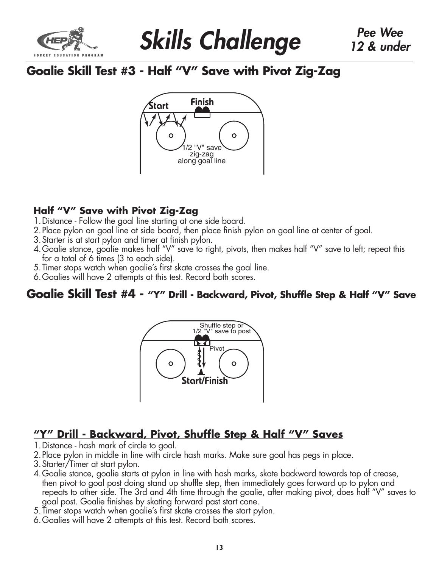

# **Goalie Skill Test #3 - Half "V" Save with Pivot Zig-Zag**



### **Half "V" Save with Pivot Zig-Zag**

- 1.Distance Follow the goal line starting at one side board.
- 2.Place pylon on goal line at side board, then place finish pylon on goal line at center of goal.
- 3.Starter is at start pylon and timer at finish pylon.
- 4. Goalie stance, goalie makes half "V" save to right, pivots, then makes half "V" save to left; repeat this for a total of 6 times (3 to each side).
- 5.Timer stops watch when goalie's first skate crosses the goal line.
- 6.Goalies will have 2 attempts at this test. Record both scores.

### **Goalie Skill Test #4 - "Y" Drill - Backward, Pivot, Shuffle Step & Half "V" Save**



## **"Y" Drill - Backward, Pivot, Shuffle Step & Half "V" Saves**

- 1.Distance hash mark of circle to goal.
- 2.Place pylon in middle in line with circle hash marks. Make sure goal has pegs in place.
- 3.Starter/Timer at start pylon.
- 4.Goalie stance, goalie starts at pylon in line with hash marks, skate backward towards top of crease, then pivot to goal post doing stand up shuffle step, then immediately goes forward up to pylon and repeats to other side. The 3rd and 4th time through the goalie, after making pivot, does half "V" saves to goal post. Goalie finishes by skating forward past start cone.
- 5.Timer stops watch when goalie's first skate crosses the start pylon.
- 6.Goalies will have 2 attempts at this test. Record both scores.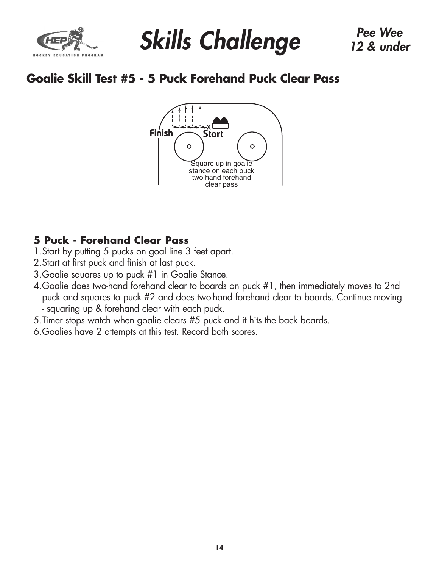

# **Goalie Skill Test #5 - 5 Puck Forehand Puck Clear Pass**



## **5 Puck - Forehand Clear Pass**

- 1. Start by putting 5 pucks on goal line 3 feet apart.
- 2.Start at first puck and finish at last puck.
- 3.Goalie squares up to puck #1 in Goalie Stance.
- 4.Goalie does two-hand forehand clear to boards on puck #1, then immediately moves to 2nd puck and squares to puck #2 and does two-hand forehand clear to boards. Continue moving - squaring up & forehand clear with each puck.
- 5.Timer stops watch when goalie clears #5 puck and it hits the back boards.
- 6.Goalies have 2 attempts at this test. Record both scores.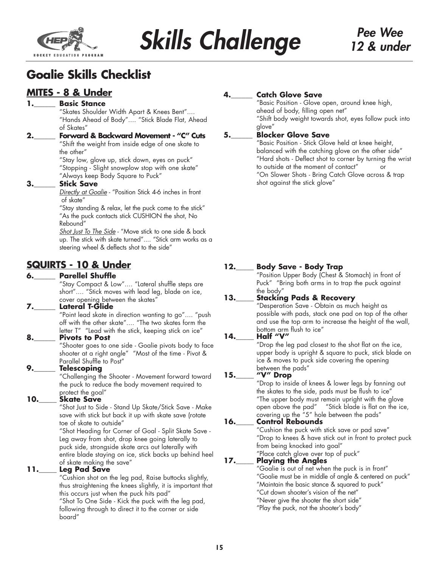

# **Goalie Skills Checklist**

### **MITES - 8 & Under**

#### **1.\_\_\_\_\_\_ Basic Stance**

"Skates Shoulder Width Apart & Knees Bent".... "Hands Ahead of Body".... "Stick Blade Flat, Ahead of Skates"

**2.\_\_\_\_\_\_ Forward & Backward Movement - "C" Cuts** "Shift the weight from inside edge of one skate to

> the other" "Stay low, glove up, stick down, eyes on puck" "Stopping - Slight snowplow stop with one skate"

"Always keep Body Square to Puck"

#### **3.\_\_\_\_\_\_ Stick Save**

*Directly at Goalie* - "Position Stick 4-6 inches in front of skate"

"Stay standing & relax, let the puck come to the stick" "As the puck contacts stick CUSHION the shot, No Rebound"

*Shot Just To The Side* - "Move stick to one side & back up. The stick with skate turned".... "Stick arm works as a steering wheel & deflects shot to the side"

### **SQUIRTS - 10 & Under**

#### **6.\_\_\_\_\_\_ Parellel Shuffle**

"Stay Compact & Low".... "Lateral shuffle steps are short".... "Stick moves with lead leg, blade on ice, cover opening between the skates"

#### **7.\_\_\_\_\_\_ Lateral T-Glide**

"Point lead skate in direction wanting to go".... "push off with the other skate".... "The two skates form the letter T" "Lead with the stick, keeping stick on ice"

#### **8.\_\_\_\_\_\_ Pivots to Post**

"Shooter goes to one side - Goalie pivots body to face shooter at a right angle" "Most of the time - Pivot & Parallel Shuffle to Post"

#### **9.\_\_\_\_\_\_ Telescoping**

"Challenging the Shooter - Movement forward toward the puck to reduce the body movement required to protect the goal"

#### **10.\_\_\_\_\_ Skate Save**

"Shot Just to Side - Stand Up Skate/Stick Save - Make save with stick but back it up with skate save (rotate toe of skate to outside"

"Shot Heading for Corner of Goal - Split Skate Save - Leg away from shot, drop knee going laterally to puck side, strongside skate arcs out laterally with entire blade staying on ice, stick backs up behind heel of skate making the save"

#### **11.\_\_\_\_\_ Leg Pad Save**

"Cushion shot on the leg pad, Raise buttocks slightly, thus straightening the knees slightly, it is important that this occurs just when the puck hits pad"

"Shot To One Side - Kick the puck with the leg pad, following through to direct it to the corner or side board"

### **Catch Glove Save**

"Basic Position - Glove open, around knee high, ahead of body, filling open net" "Shift body weight towards shot, eyes follow puck into glove"

#### **5.\_\_\_\_\_\_ Blocker Glove Save**

"Basic Position - Stick Glove held at knee height, balanced with the catching glove on the other side" "Hard shots - Deflect shot to corner by turning the wrist to outside at the moment of contact" or "On Slower Shots - Bring Catch Glove across & trap shot against the stick glove"

#### **12.\_\_\_\_\_ Body Save - Body Trap**

"Position Upper Body (Chest & Stomach) in front of Puck" "Bring both arms in to trap the puck against the body"

#### **13.\_\_\_\_\_ Stacking Pads & Recovery**

"Desperation Save - Obtain as much height as possible with pads, stack one pad on top of the other and use the top arm to increase the height of the wall, bottom arm flush to ice"

### **14.\_\_\_\_\_ Half "V"**

"Drop the leg pad closest to the shot flat on the ice, upper body is upright & square to puck, stick blade on ice & moves to puck side covering the opening between the pads"

#### **15.\_\_\_\_\_ "V" Drop**

"Drop to inside of knees & lower legs by fanning out the skates to the side, pads must be flush to ice" "The upper body must remain upright with the glove open above the pad" "Stick blade is flat on the ice, covering up the "5" hole between the pads"

#### **16.\_\_\_\_\_ Control Rebounds**

"Cushion the puck with stick save or pad save" "Drop to knees & have stick out in front to protect puck from being knocked into goal"

#### "Place catch glove over top of puck" **17.\_\_\_\_\_ Playing the Angles**

"Goalie is out of net when the puck is in front"

"Goalie must be in middle of angle & centered on puck"

- "Maintain the basic stance & squared to puck"
- "Cut down shooter's vision of the net"
	- "Never give the shooter the short side"

"Play the puck, not the shooter's body"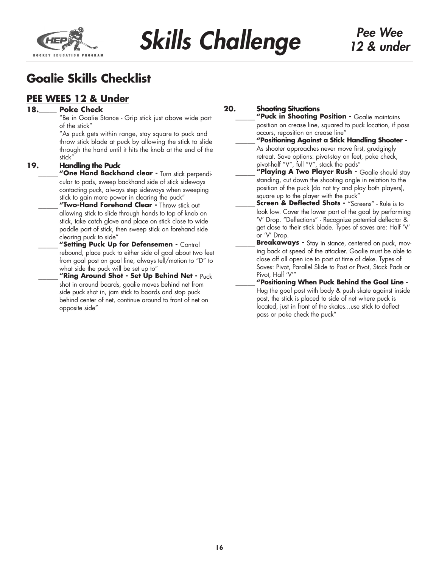

# **Goalie Skills Checklist**

### **PEE WEES 12 & Under**

#### **18.\_\_\_\_\_ Poke Check**

"Be in Goalie Stance - Grip stick just above wide part of the stick"

"As puck gets within range, stay square to puck and throw stick blade at puck by allowing the stick to slide through the hand until it hits the knob at the end of the stick"

#### **19. Handling the Puck**

"One Hand Backhand clear - Turn stick perpendicular to pads, sweep backhand side of stick sideways contacting puck, always step sideways when sweeping stick to gain more power in clearing the puck"

**\_\_\_\_\_ "Two-Hand Forehand Clear -** Throw stick out allowing stick to slide through hands to top of knob on stick, take catch glove and place on stick close to wide paddle part of stick, then sweep stick on forehand side clearing puck to side"

**\_\_\_\_\_ "Setting Puck Up for Defensemen -** Control rebound, place puck to either side of goal about two feet from goal post on goal line, always tell/motion to "D" to what side the puck will be set up to"

**\_\_\_\_\_ "Ring Around Shot - Set Up Behind Net -** Puck shot in around boards, goalie moves behind net from side puck shot in, jam stick to boards and stop puck behind center of net, continue around to front of net on opposite side"

#### **20. Shooting Situations**

**\_\_\_\_\_ "Puck in Shooting Position -** Goalie maintains position on crease line, squared to puck location, if pass occurs, reposition on crease line"

**\_\_\_\_\_ "Positioning Against a Stick Handling Shooter -**  As shooter approaches never move first, grudgingly retreat. Save options: pivot-stay on feet, poke check, pivot-half "V", full "V", stack the pads"

**\_\_\_\_\_ "Playing A Two Player Rush -** Goalie should stay standing, cut down the shooting angle in relation to the position of the puck (do not try and play both players), square up to the player with the puck"

**Screen & Deflected Shots - "Screens" - Rule is to** look low. Cover the lower part of the goal by performing 'V' Drop. "Deflections" - Recognize potential deflector & get close to their stick blade. Types of saves are: Half 'V' or 'V' Drop.

**Breakaways -** Stay in stance, centered on puck, moving back at speed of the attacker. Goalie must be able to close off all open ice to post at time of deke. Types of Saves: Pivot, Parallel Slide to Post or Pivot, Stack Pads or Pivot, Half 'V'"

**\_\_\_\_\_ "Positioning When Puck Behind the Goal Line -** Hug the goal post with body & push skate against inside post, the stick is placed to side of net where puck is located, just in front of the skates...use stick to deflect pass or poke check the puck"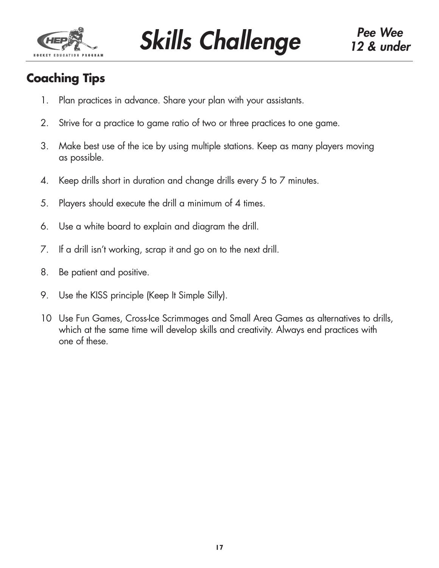

# **Coaching Tips**

- 1. Plan practices in advance. Share your plan with your assistants.
- 2. Strive for a practice to game ratio of two or three practices to one game.
- 3. Make best use of the ice by using multiple stations. Keep as many players moving as possible.
- 4. Keep drills short in duration and change drills every 5 to 7 minutes.
- 5. Players should execute the drill a minimum of 4 times.
- 6. Use a white board to explain and diagram the drill.
- 7. If a drill isn't working, scrap it and go on to the next drill.
- 8. Be patient and positive.
- 9. Use the KISS principle (Keep It Simple Silly).
- 10 Use Fun Games, Cross-Ice Scrimmages and Small Area Games as alternatives to drills, which at the same time will develop skills and creativity. Always end practices with one of these.